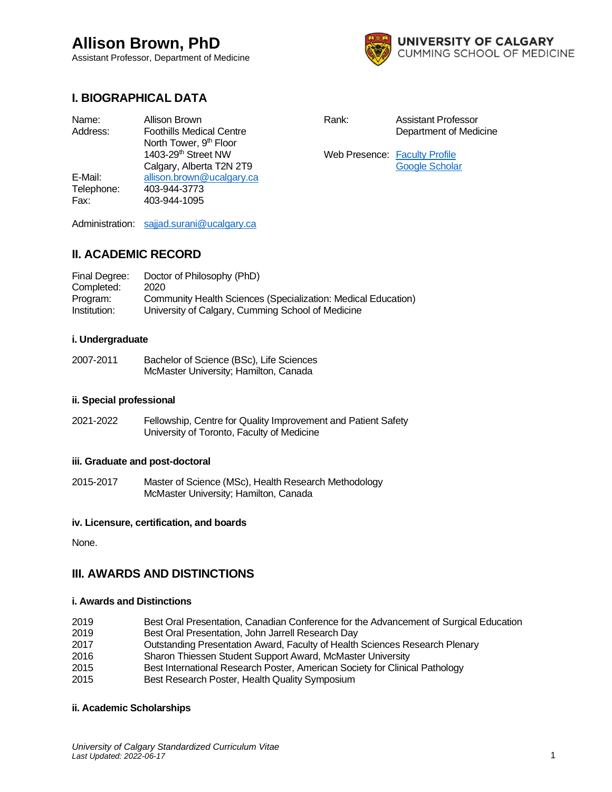Assistant Professor, Department of Medicine



## **I. BIOGRAPHICAL DATA**

| Name:      | Allison Brown                      |
|------------|------------------------------------|
| Address:   | <b>Foothills Medical Centre</b>    |
|            | North Tower, 9 <sup>th</sup> Floor |
|            | 1403-29 <sup>th</sup> Street NW    |
|            | Calgary, Alberta T2N 2T9           |
| E-Mail:    | allison.brown@ucalgary.ca          |
| Telephone: | 403-944-3773                       |
| Fax:       | 403-944-1095                       |
|            |                                    |

Rank: Assistant Professor

Department of Medicine

Web Presence: [Faculty Profile](https://profiles.ucalgary.ca/allison-brown) [Google Scholar](https://scholar.google.com/citations?user=KIpcvogAAAAJ&hl=en)

Administration: [sajjad.surani@ucalgary.ca](mailto:sajjad.surani@ucalgary.ca)

## **II. ACADEMIC RECORD**

| Final Degree: | Doctor of Philosophy (PhD)                                    |
|---------------|---------------------------------------------------------------|
| Completed:    | 2020                                                          |
| Program:      | Community Health Sciences (Specialization: Medical Education) |
| Institution:  | University of Calgary, Cumming School of Medicine             |

### **i. Undergraduate**

2007-2011 Bachelor of Science (BSc), Life Sciences McMaster University; Hamilton, Canada

### **ii. Special professional**

2021-2022 Fellowship, Centre for Quality Improvement and Patient Safety University of Toronto, Faculty of Medicine

## **iii. Graduate and post-doctoral**

2015-2017 Master of Science (MSc), Health Research Methodology McMaster University; Hamilton, Canada

## **iv. Licensure, certification, and boards**

None.

## **III. AWARDS AND DISTINCTIONS**

### **i. Awards and Distinctions**

| 2019 | Best Oral Presentation, Canadian Conference for the Advancement of Surgical Education |
|------|---------------------------------------------------------------------------------------|
| 2019 | Best Oral Presentation, John Jarrell Research Day                                     |
| 2017 | Outstanding Presentation Award, Faculty of Health Sciences Research Plenary           |
| 2016 | Sharon Thiessen Student Support Award, McMaster University                            |
| 2015 | Best International Research Poster, American Society for Clinical Pathology           |
| 2015 | Best Research Poster, Health Quality Symposium                                        |

#### **ii. Academic Scholarships**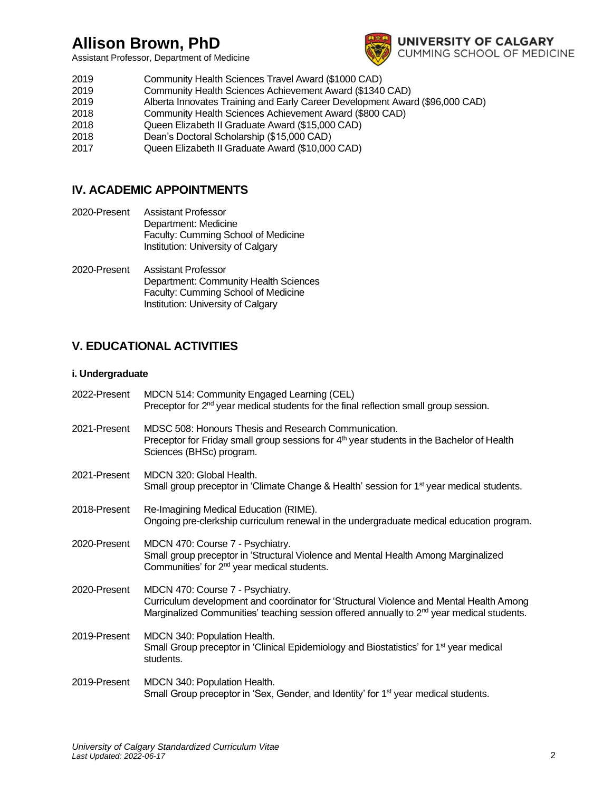Assistant Professor, Department of Medicine



- 2019 Community Health Sciences Travel Award (\$1000 CAD)
- 2019 Community Health Sciences Achievement Award (\$1340 CAD)
- 2019 Alberta Innovates Training and Early Career Development Award (\$96,000 CAD)
- 2018 Community Health Sciences Achievement Award (\$800 CAD)
- 2018 Queen Elizabeth II Graduate Award (\$15,000 CAD)
- 2018 Dean's Doctoral Scholarship (\$15,000 CAD)
- 2017 Queen Elizabeth II Graduate Award (\$10,000 CAD)

## **IV. ACADEMIC APPOINTMENTS**

- 2020-Present Assistant Professor Department: Medicine Faculty: Cumming School of Medicine Institution: University of Calgary
- 2020-Present Assistant Professor Department: Community Health Sciences Faculty: Cumming School of Medicine Institution: University of Calgary

## **V. EDUCATIONAL ACTIVITIES**

## **i. Undergraduate**

| 2022-Present | MDCN 514: Community Engaged Learning (CEL)<br>Preceptor for 2 <sup>nd</sup> year medical students for the final reflection small group session.                                                                                      |
|--------------|--------------------------------------------------------------------------------------------------------------------------------------------------------------------------------------------------------------------------------------|
| 2021-Present | MDSC 508: Honours Thesis and Research Communication.<br>Preceptor for Friday small group sessions for 4 <sup>th</sup> year students in the Bachelor of Health<br>Sciences (BHSc) program.                                            |
| 2021-Present | MDCN 320: Global Health.<br>Small group preceptor in 'Climate Change & Health' session for 1 <sup>st</sup> year medical students.                                                                                                    |
| 2018-Present | Re-Imagining Medical Education (RIME).<br>Ongoing pre-clerkship curriculum renewal in the undergraduate medical education program.                                                                                                   |
| 2020-Present | MDCN 470: Course 7 - Psychiatry.<br>Small group preceptor in 'Structural Violence and Mental Health Among Marginalized<br>Communities' for 2 <sup>nd</sup> year medical students.                                                    |
| 2020-Present | MDCN 470: Course 7 - Psychiatry.<br>Curriculum development and coordinator for 'Structural Violence and Mental Health Among<br>Marginalized Communities' teaching session offered annually to 2 <sup>nd</sup> year medical students. |
| 2019-Present | MDCN 340: Population Health.<br>Small Group preceptor in 'Clinical Epidemiology and Biostatistics' for 1 <sup>st</sup> year medical<br>students.                                                                                     |
| 2019-Present | MDCN 340: Population Health.<br>Small Group preceptor in 'Sex, Gender, and Identity' for 1 <sup>st</sup> year medical students.                                                                                                      |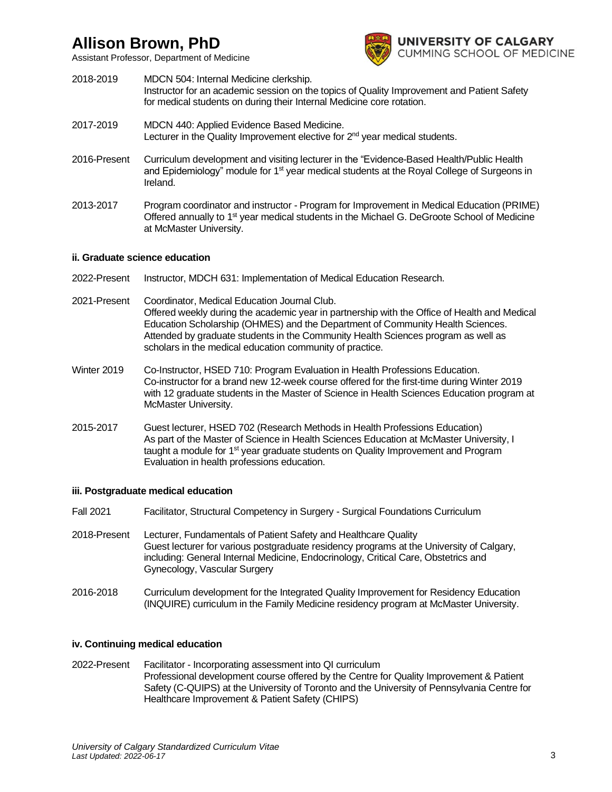Assistant Professor, Department of Medicine



- 2018-2019 MDCN 504: Internal Medicine clerkship. Instructor for an academic session on the topics of Quality Improvement and Patient Safety for medical students on during their Internal Medicine core rotation.
- 2017-2019 MDCN 440: Applied Evidence Based Medicine. Lecturer in the Quality Improvement elective for  $2<sup>nd</sup>$  year medical students.
- 2016-Present Curriculum development and visiting lecturer in the "Evidence-Based Health/Public Health and Epidemiology" module for 1<sup>st</sup> year medical students at the Royal College of Surgeons in Ireland.
- 2013-2017 Program coordinator and instructor Program for Improvement in Medical Education (PRIME) Offered annually to 1<sup>st</sup> year medical students in the Michael G. DeGroote School of Medicine at McMaster University.

## **ii. Graduate science education**

- 2022-Present Instructor, MDCH 631: Implementation of Medical Education Research.
- 2021-Present Coordinator, Medical Education Journal Club. Offered weekly during the academic year in partnership with the Office of Health and Medical Education Scholarship (OHMES) and the Department of Community Health Sciences. Attended by graduate students in the Community Health Sciences program as well as scholars in the medical education community of practice.
- Winter 2019 Co-Instructor, HSED 710: Program Evaluation in Health Professions Education. Co-instructor for a brand new 12-week course offered for the first-time during Winter 2019 with 12 graduate students in the Master of Science in Health Sciences Education program at McMaster University.
- 2015-2017 Guest lecturer, HSED 702 (Research Methods in Health Professions Education) As part of the Master of Science in Health Sciences Education at McMaster University, I taught a module for 1<sup>st</sup> year graduate students on Quality Improvement and Program Evaluation in health professions education.

## **iii. Postgraduate medical education**

- Fall 2021 Facilitator, Structural Competency in Surgery Surgical Foundations Curriculum
- 2018-Present Lecturer, Fundamentals of Patient Safety and Healthcare Quality Guest lecturer for various postgraduate residency programs at the University of Calgary, including: General Internal Medicine, Endocrinology, Critical Care, Obstetrics and Gynecology, Vascular Surgery
- 2016-2018 Curriculum development for the Integrated Quality Improvement for Residency Education (INQUIRE) curriculum in the Family Medicine residency program at McMaster University.

## **iv. Continuing medical education**

2022-Present Facilitator - Incorporating assessment into QI curriculum Professional development course offered by the Centre for Quality Improvement & Patient Safety (C-QUIPS) at the University of Toronto and the University of Pennsylvania Centre for Healthcare Improvement & Patient Safety (CHIPS)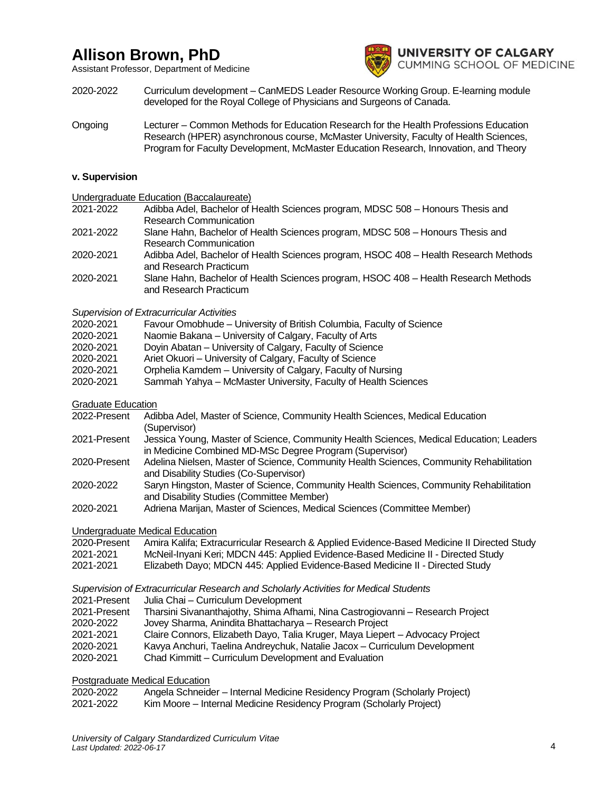Assistant Professor, Department of Medicine



- 2020-2022 Curriculum development CanMEDS Leader Resource Working Group. E-learning module developed for the Royal College of Physicians and Surgeons of Canada.
- Ongoing Lecturer Common Methods for Education Research for the Health Professions Education Research (HPER) asynchronous course, McMaster University, Faculty of Health Sciences, Program for Faculty Development, McMaster Education Research, Innovation, and Theory

### **v. Supervision**

Undergraduate Education (Baccalaureate)

- 2021-2022 Adibba Adel, Bachelor of Health Sciences program, MDSC 508 Honours Thesis and Research Communication
- 2021-2022 Slane Hahn, Bachelor of Health Sciences program, MDSC 508 Honours Thesis and Research Communication
- 2020-2021 Adibba Adel, Bachelor of Health Sciences program, HSOC 408 Health Research Methods and Research Practicum
- 2020-2021 Slane Hahn, Bachelor of Health Sciences program, HSOC 408 Health Research Methods and Research Practicum

### *Supervision of Extracurricular Activities*

- 2020-2021 Favour Omobhude University of British Columbia, Faculty of Science
- 2020-2021 Naomie Bakana University of Calgary, Faculty of Arts
- 2020-2021 Doyin Abatan University of Calgary, Faculty of Science
- 2020-2021 Ariet Okuori University of Calgary, Faculty of Science
- 2020-2021 Orphelia Kamdem University of Calgary, Faculty of Nursing
- 2020-2021 Sammah Yahya McMaster University, Faculty of Health Sciences
- Graduate Education
- 2022-Present Adibba Adel, Master of Science, Community Health Sciences, Medical Education (Supervisor)
- 2021-Present Jessica Young, Master of Science, Community Health Sciences, Medical Education; Leaders in Medicine Combined MD-MSc Degree Program (Supervisor)
- 2020-Present Adelina Nielsen, Master of Science, Community Health Sciences, Community Rehabilitation and Disability Studies (Co-Supervisor)
- 2020-2022 Saryn Hingston, Master of Science, Community Health Sciences, Community Rehabilitation and Disability Studies (Committee Member)
- 2020-2021 Adriena Marijan, Master of Sciences, Medical Sciences (Committee Member)

### Undergraduate Medical Education

| 2020-Present | Amira Kalifa; Extracurricular Research & Applied Evidence-Based Medicine II Directed Study |
|--------------|--------------------------------------------------------------------------------------------|
| 2021-2021    | McNeil-Inyani Keri; MDCN 445: Applied Evidence-Based Medicine II - Directed Study          |
| $\sim$       | NANIJEA ETTA ARTIKA                                                                        |

2021-2021 Elizabeth Dayo; MDCN 445: Applied Evidence-Based Medicine II - Directed Study

### *Supervision of Extracurricular Research and Scholarly Activities for Medical Students*

- 2021-Present Julia Chai Curriculum Development
- 2021-Present Tharsini Sivananthajothy, Shima Afhami, Nina Castrogiovanni Research Project
- 2020-2022 Jovey Sharma, Anindita Bhattacharya Research Project
- 2021-2021 Claire Connors, Elizabeth Dayo, Talia Kruger, Maya Liepert Advocacy Project
- 2020-2021 Kavya Anchuri, Taelina Andreychuk, Natalie Jacox Curriculum Development
- 2020-2021 Chad Kimmitt Curriculum Development and Evaluation

## Postgraduate Medical Education

| 2020-2022 | Angela Schneider – Internal Medicine Residency Program (Scholarly Project) |
|-----------|----------------------------------------------------------------------------|
| 2021-2022 | Kim Moore – Internal Medicine Residency Program (Scholarly Project)        |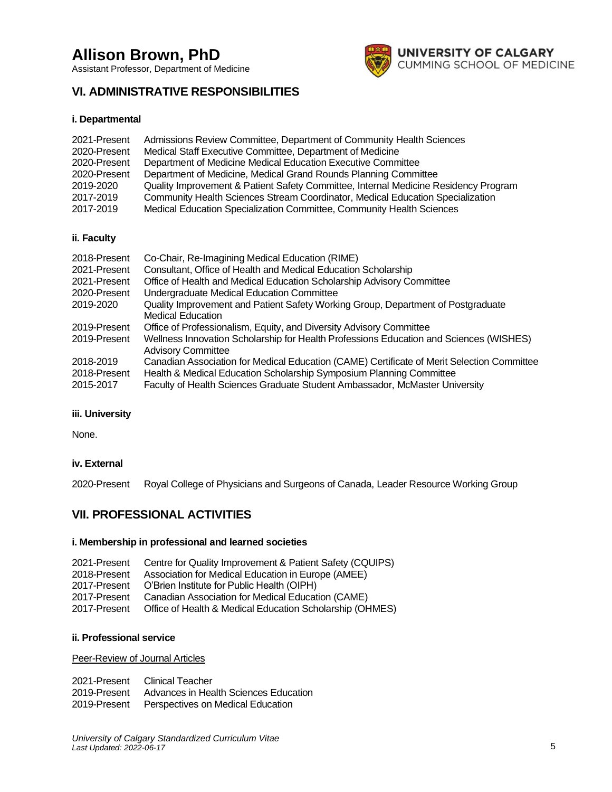Assistant Professor, Department of Medicine



## **VI. ADMINISTRATIVE RESPONSIBILITIES**

## **i. Departmental**

| 2021-Present | Admissions Review Committee, Department of Community Health Sciences                |
|--------------|-------------------------------------------------------------------------------------|
| 2020-Present | Medical Staff Executive Committee, Department of Medicine                           |
| 2020-Present | Department of Medicine Medical Education Executive Committee                        |
| 2020-Present | Department of Medicine, Medical Grand Rounds Planning Committee                     |
| 2019-2020    | Quality Improvement & Patient Safety Committee, Internal Medicine Residency Program |
| 2017-2019    | Community Health Sciences Stream Coordinator, Medical Education Specialization      |
| 2017-2019    | Medical Education Specialization Committee, Community Health Sciences               |

## **ii. Faculty**

| 2018-Present | Co-Chair, Re-Imagining Medical Education (RIME)                                            |
|--------------|--------------------------------------------------------------------------------------------|
| 2021-Present | Consultant, Office of Health and Medical Education Scholarship                             |
| 2021-Present | Office of Health and Medical Education Scholarship Advisory Committee                      |
| 2020-Present | Undergraduate Medical Education Committee                                                  |
| 2019-2020    | Quality Improvement and Patient Safety Working Group, Department of Postgraduate           |
|              | <b>Medical Education</b>                                                                   |
| 2019-Present | Office of Professionalism, Equity, and Diversity Advisory Committee                        |
| 2019-Present | Wellness Innovation Scholarship for Health Professions Education and Sciences (WISHES)     |
|              | <b>Advisory Committee</b>                                                                  |
| 2018-2019    | Canadian Association for Medical Education (CAME) Certificate of Merit Selection Committee |
| 2018-Present | Health & Medical Education Scholarship Symposium Planning Committee                        |
| 2015-2017    | Faculty of Health Sciences Graduate Student Ambassador, McMaster University                |

### **iii. University**

None.

### **iv. External**

2020-Present Royal College of Physicians and Surgeons of Canada, Leader Resource Working Group

## **VII. PROFESSIONAL ACTIVITIES**

### **i. Membership in professional and learned societies**

| 2021-Present | Centre for Quality Improvement & Patient Safety (CQUIPS) |
|--------------|----------------------------------------------------------|
| 2018-Present | Association for Medical Education in Europe (AMEE)       |
| 2017-Present | O'Brien Institute for Public Health (OIPH)               |
| 2017-Present | Canadian Association for Medical Education (CAME)        |
| 2017-Present | Office of Health & Medical Education Scholarship (OHMES) |

## **ii. Professional service**

Peer-Review of Journal Articles

|              | 2021-Present Clinical Teacher                  |
|--------------|------------------------------------------------|
| 2019-Present | Advances in Health Sciences Education          |
|              | 2019-Present Perspectives on Medical Education |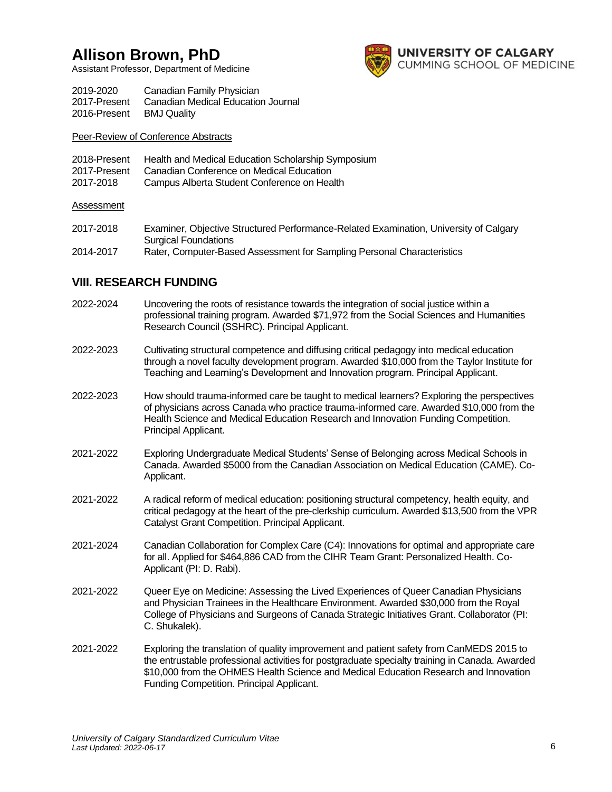Assistant Professor, Department of Medicine



| 2019-2020    | Canadian Family Physician          |
|--------------|------------------------------------|
| 2017-Present | Canadian Medical Education Journal |
| 2016-Present | <b>BMJ Quality</b>                 |

Peer-Review of Conference Abstracts

| 2018-Present | Health and Medical Education Scholarship Symposium |
|--------------|----------------------------------------------------|
| 2017-Present | Canadian Conference on Medical Education           |
| 2017-2018    | Campus Alberta Student Conference on Health        |

## **Assessment**

| 2017-2018 | Examiner, Objective Structured Performance-Related Examination, University of Calgary |
|-----------|---------------------------------------------------------------------------------------|
|           | <b>Surgical Foundations</b>                                                           |
| 2014-2017 | Rater, Computer-Based Assessment for Sampling Personal Characteristics                |

## **VIII. RESEARCH FUNDING**

| 2022-2024 | Uncovering the roots of resistance towards the integration of social justice within a<br>professional training program. Awarded \$71,972 from the Social Sciences and Humanities<br>Research Council (SSHRC). Principal Applicant.                                                                                              |
|-----------|---------------------------------------------------------------------------------------------------------------------------------------------------------------------------------------------------------------------------------------------------------------------------------------------------------------------------------|
| 2022-2023 | Cultivating structural competence and diffusing critical pedagogy into medical education<br>through a novel faculty development program. Awarded \$10,000 from the Taylor Institute for<br>Teaching and Learning's Development and Innovation program. Principal Applicant.                                                     |
| 2022-2023 | How should trauma-informed care be taught to medical learners? Exploring the perspectives<br>of physicians across Canada who practice trauma-informed care. Awarded \$10,000 from the<br>Health Science and Medical Education Research and Innovation Funding Competition.<br>Principal Applicant.                              |
| 2021-2022 | Exploring Undergraduate Medical Students' Sense of Belonging across Medical Schools in<br>Canada. Awarded \$5000 from the Canadian Association on Medical Education (CAME). Co-<br>Applicant.                                                                                                                                   |
| 2021-2022 | A radical reform of medical education: positioning structural competency, health equity, and<br>critical pedagogy at the heart of the pre-clerkship curriculum. Awarded \$13,500 from the VPR<br>Catalyst Grant Competition. Principal Applicant.                                                                               |
| 2021-2024 | Canadian Collaboration for Complex Care (C4): Innovations for optimal and appropriate care<br>for all. Applied for \$464,886 CAD from the CIHR Team Grant: Personalized Health. Co-<br>Applicant (PI: D. Rabi).                                                                                                                 |
| 2021-2022 | Queer Eye on Medicine: Assessing the Lived Experiences of Queer Canadian Physicians<br>and Physician Trainees in the Healthcare Environment. Awarded \$30,000 from the Royal<br>College of Physicians and Surgeons of Canada Strategic Initiatives Grant. Collaborator (PI:<br>C. Shukalek).                                    |
| 2021-2022 | Exploring the translation of quality improvement and patient safety from CanMEDS 2015 to<br>the entrustable professional activities for postgraduate specialty training in Canada. Awarded<br>\$10,000 from the OHMES Health Science and Medical Education Research and Innovation<br>Funding Competition. Principal Applicant. |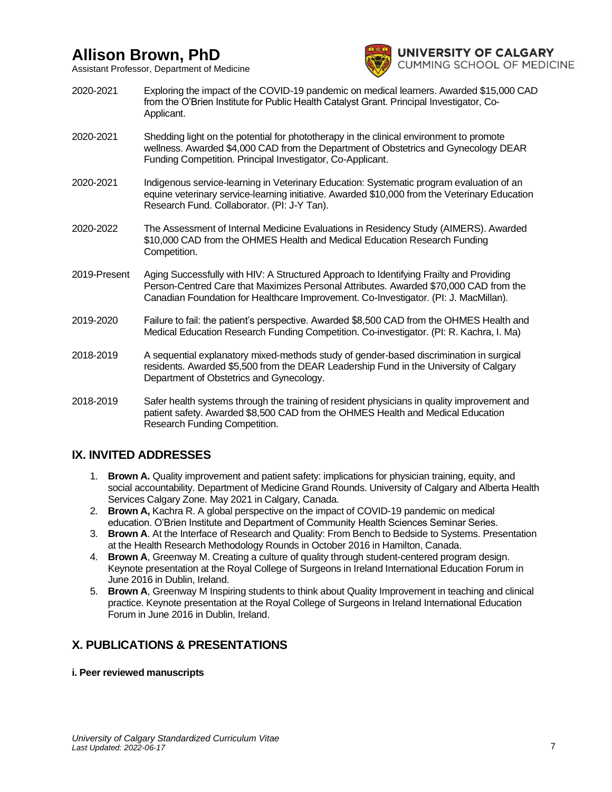Assistant Professor, Department of Medicine



- 2020-2021 Exploring the impact of the COVID-19 pandemic on medical learners. Awarded \$15,000 CAD from the O'Brien Institute for Public Health Catalyst Grant. Principal Investigator, Co-Applicant.
- 2020-2021 Shedding light on the potential for phototherapy in the clinical environment to promote wellness. Awarded \$4,000 CAD from the Department of Obstetrics and Gynecology DEAR Funding Competition. Principal Investigator, Co-Applicant.
- 2020-2021 Indigenous service-learning in Veterinary Education: Systematic program evaluation of an equine veterinary service-learning initiative. Awarded \$10,000 from the Veterinary Education Research Fund. Collaborator. (PI: J-Y Tan).
- 2020-2022 The Assessment of Internal Medicine Evaluations in Residency Study (AIMERS). Awarded \$10,000 CAD from the OHMES Health and Medical Education Research Funding Competition.
- 2019-Present Aging Successfully with HIV: A Structured Approach to Identifying Frailty and Providing Person-Centred Care that Maximizes Personal Attributes. Awarded \$70,000 CAD from the Canadian Foundation for Healthcare Improvement. Co-Investigator. (PI: J. MacMillan).
- 2019-2020 Failure to fail: the patient's perspective. Awarded \$8,500 CAD from the OHMES Health and Medical Education Research Funding Competition. Co-investigator. (PI: R. Kachra, I. Ma)
- 2018-2019 A sequential explanatory mixed-methods study of gender-based discrimination in surgical residents. Awarded \$5,500 from the DEAR Leadership Fund in the University of Calgary Department of Obstetrics and Gynecology.
- 2018-2019 Safer health systems through the training of resident physicians in quality improvement and patient safety. Awarded \$8,500 CAD from the OHMES Health and Medical Education Research Funding Competition.

## **IX. INVITED ADDRESSES**

- 1. **Brown A.** Quality improvement and patient safety: implications for physician training, equity, and social accountability. Department of Medicine Grand Rounds. University of Calgary and Alberta Health Services Calgary Zone. May 2021 in Calgary, Canada.
- 2. **Brown A,** Kachra R. A global perspective on the impact of COVID-19 pandemic on medical education. O'Brien Institute and Department of Community Health Sciences Seminar Series.
- 3. **Brown A**. At the Interface of Research and Quality: From Bench to Bedside to Systems. Presentation at the Health Research Methodology Rounds in October 2016 in Hamilton, Canada.
- 4. **Brown A**, Greenway M. Creating a culture of quality through student-centered program design. Keynote presentation at the Royal College of Surgeons in Ireland International Education Forum in June 2016 in Dublin, Ireland.
- 5. **Brown A**, Greenway M Inspiring students to think about Quality Improvement in teaching and clinical practice. Keynote presentation at the Royal College of Surgeons in Ireland International Education Forum in June 2016 in Dublin, Ireland.

## **X. PUBLICATIONS & PRESENTATIONS**

**i. Peer reviewed manuscripts**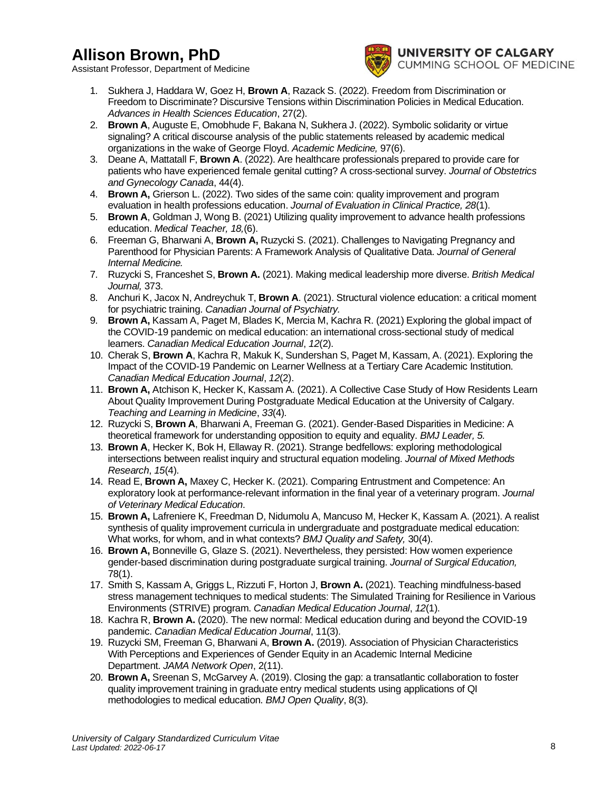Assistant Professor, Department of Medicine



- 1. Sukhera J, Haddara W, Goez H, **Brown A**, Razack S. (2022). Freedom from Discrimination or Freedom to Discriminate? Discursive Tensions within Discrimination Policies in Medical Education. *Advances in Health Sciences Education*, 27(2).
- 2. **Brown A**, Auguste E, Omobhude F, Bakana N, Sukhera J. (2022). Symbolic solidarity or virtue signaling? A critical discourse analysis of the public statements released by academic medical organizations in the wake of George Floyd. *Academic Medicine,* 97(6).
- 3. Deane A, Mattatall F, **Brown A**. (2022). Are healthcare professionals prepared to provide care for patients who have experienced female genital cutting? A cross-sectional survey. *Journal of Obstetrics and Gynecology Canada*, 44(4).
- 4. **Brown A,** Grierson L. (2022). Two sides of the same coin: quality improvement and program evaluation in health professions education. *Journal of Evaluation in Clinical Practice, 28*(1).
- 5. **Brown A**, Goldman J, Wong B. (2021) Utilizing quality improvement to advance health professions education. *Medical Teacher, 18,*(6).
- 6. Freeman G, Bharwani A, **Brown A,** Ruzycki S. (2021). Challenges to Navigating Pregnancy and Parenthood for Physician Parents: A Framework Analysis of Qualitative Data. *Journal of General Internal Medicine.*
- 7. Ruzycki S, Franceshet S, **Brown A.** (2021). Making medical leadership more diverse. *British Medical Journal,* 373.
- 8. Anchuri K, Jacox N, Andreychuk T, **Brown A**. (2021). Structural violence education: a critical moment for psychiatric training. *Canadian Journal of Psychiatry.*
- 9. **Brown A,** Kassam A, Paget M, Blades K, Mercia M, Kachra R. (2021) Exploring the global impact of the COVID-19 pandemic on medical education: an international cross-sectional study of medical learners. *Canadian Medical Education Journal*, *12*(2).
- 10. Cherak S, **Brown A**, Kachra R, Makuk K, Sundershan S, Paget M, Kassam, A. (2021). Exploring the Impact of the COVID-19 Pandemic on Learner Wellness at a Tertiary Care Academic Institution. *Canadian Medical Education Journal*, *12*(2).
- 11. **Brown A,** Atchison K, Hecker K, Kassam A. (2021). A Collective Case Study of How Residents Learn About Quality Improvement During Postgraduate Medical Education at the University of Calgary. *Teaching and Learning in Medicine*, *33*(4)*.*
- 12. Ruzycki S, **Brown A**, Bharwani A, Freeman G. (2021). Gender-Based Disparities in Medicine: A theoretical framework for understanding opposition to equity and equality. *BMJ Leader, 5.*
- 13. **Brown A**, Hecker K, Bok H, Ellaway R. (2021). Strange bedfellows: exploring methodological intersections between realist inquiry and structural equation modeling. *Journal of Mixed Methods Research*, *15*(4).
- 14. Read E, **Brown A,** Maxey C, Hecker K. (2021). Comparing Entrustment and Competence: An exploratory look at performance-relevant information in the final year of a veterinary program. *Journal of Veterinary Medical Education*.
- 15. **Brown A,** Lafreniere K, Freedman D, Nidumolu A, Mancuso M, Hecker K, Kassam A. (2021). A realist synthesis of quality improvement curricula in undergraduate and postgraduate medical education: What works, for whom, and in what contexts? *BMJ Quality and Safety,* 30(4).
- 16. **Brown A,** Bonneville G, Glaze S. (2021). Nevertheless, they persisted: How women experience gender-based discrimination during postgraduate surgical training. *Journal of Surgical Education,*  78(1).
- 17. Smith S, Kassam A, Griggs L, Rizzuti F, Horton J, **Brown A.** (2021). Teaching mindfulness-based stress management techniques to medical students: The Simulated Training for Resilience in Various Environments (STRIVE) program. *Canadian Medical Education Journal*, *12*(1).
- 18. Kachra R, **Brown A.** (2020). The new normal: Medical education during and beyond the COVID-19 pandemic. *Canadian Medical Education Journal*, 11(3).
- 19. Ruzycki SM, Freeman G, Bharwani A, **Brown A.** (2019). Association of Physician Characteristics With Perceptions and Experiences of Gender Equity in an Academic Internal Medicine Department. *JAMA Network Open*, 2(11).
- 20. **Brown A,** Sreenan S, McGarvey A. (2019). Closing the gap: a transatlantic collaboration to foster quality improvement training in graduate entry medical students using applications of QI methodologies to medical education. *BMJ Open Quality*, 8(3).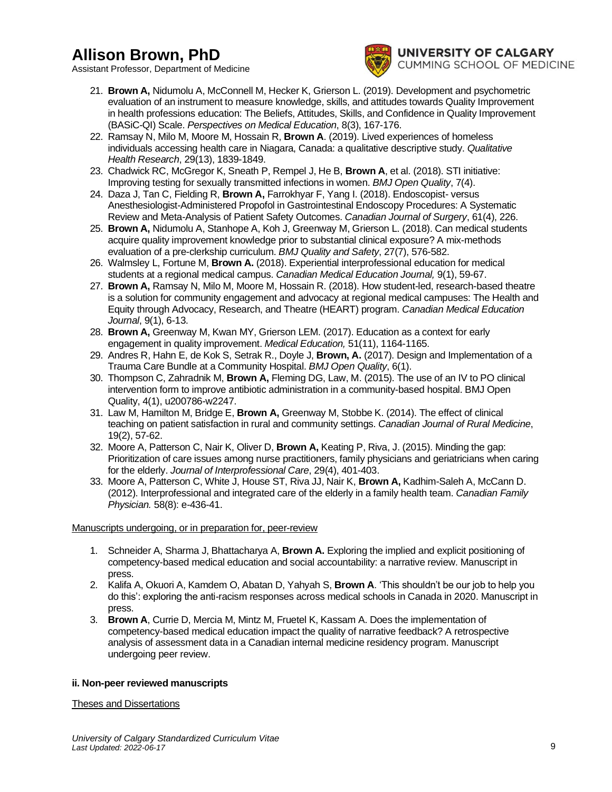Assistant Professor, Department of Medicine



- 21. **Brown A,** Nidumolu A, McConnell M, Hecker K, Grierson L. (2019). Development and psychometric evaluation of an instrument to measure knowledge, skills, and attitudes towards Quality Improvement in health professions education: The Beliefs, Attitudes, Skills, and Confidence in Quality Improvement (BASiC-QI) Scale. *Perspectives on Medical Education*, 8(3), 167-176.
- 22. Ramsay N, Milo M, Moore M, Hossain R, **Brown A**. (2019). Lived experiences of homeless individuals accessing health care in Niagara, Canada: a qualitative descriptive study. *Qualitative Health Research*, 29(13), 1839-1849.
- 23. Chadwick RC, McGregor K, Sneath P, Rempel J, He B, **Brown A**, et al. (2018). STI initiative: Improving testing for sexually transmitted infections in women. *BMJ Open Quality*, 7(4).
- 24. Daza J, Tan C, Fielding R, **Brown A,** Farrokhyar F, Yang I. (2018). Endoscopist- versus Anesthesiologist-Administered Propofol in Gastrointestinal Endoscopy Procedures: A Systematic Review and Meta-Analysis of Patient Safety Outcomes. *Canadian Journal of Surgery*, 61(4), 226.
- 25. **Brown A,** Nidumolu A, Stanhope A, Koh J, Greenway M, Grierson L. (2018). Can medical students acquire quality improvement knowledge prior to substantial clinical exposure? A mix-methods evaluation of a pre-clerkship curriculum. *BMJ Quality and Safety*, 27(7), 576-582.
- 26. Walmsley L, Fortune M, **Brown A.** (2018). Experiential interprofessional education for medical students at a regional medical campus. *Canadian Medical Education Journal,* 9(1), 59-67.
- 27. **Brown A,** Ramsay N, Milo M, Moore M, Hossain R. (2018). How student-led, research-based theatre is a solution for community engagement and advocacy at regional medical campuses: The Health and Equity through Advocacy, Research, and Theatre (HEART) program. *Canadian Medical Education Journal*, 9(1), 6-13.
- 28. **Brown A,** Greenway M, Kwan MY, Grierson LEM. (2017). Education as a context for early engagement in quality improvement. *Medical Education,* 51(11), 1164-1165.
- 29. Andres R, Hahn E, de Kok S, Setrak R., Doyle J, **Brown, A.** (2017). Design and Implementation of a Trauma Care Bundle at a Community Hospital. *BMJ Open Quality*, 6(1).
- 30. Thompson C, Zahradnik M, **Brown A,** Fleming DG, Law, M. (2015). The use of an IV to PO clinical intervention form to improve antibiotic administration in a community-based hospital. BMJ Open Quality, 4(1), u200786-w2247.
- 31. Law M, Hamilton M, Bridge E, **Brown A,** Greenway M, Stobbe K. (2014). The effect of clinical teaching on patient satisfaction in rural and community settings. *Canadian Journal of Rural Medicine*, 19(2), 57-62.
- 32. Moore A, Patterson C, Nair K, Oliver D, **Brown A,** Keating P, Riva, J. (2015). Minding the gap: Prioritization of care issues among nurse practitioners, family physicians and geriatricians when caring for the elderly. *Journal of Interprofessional Care*, 29(4), 401-403.
- 33. Moore A, Patterson C, White J, House ST, Riva JJ, Nair K, **Brown A,** Kadhim-Saleh A, McCann D. (2012). Interprofessional and integrated care of the elderly in a family health team. *Canadian Family Physician.* 58(8): e-436-41.

## Manuscripts undergoing, or in preparation for, peer-review

- 1. Schneider A, Sharma J, Bhattacharya A, **Brown A.** Exploring the implied and explicit positioning of competency-based medical education and social accountability: a narrative review. Manuscript in press.
- 2. Kalifa A, Okuori A, Kamdem O, Abatan D, Yahyah S, **Brown A**. 'This shouldn't be our job to help you do this': exploring the anti-racism responses across medical schools in Canada in 2020. Manuscript in press.
- 3. **Brown A**, Currie D, Mercia M, Mintz M, Fruetel K, Kassam A. Does the implementation of competency-based medical education impact the quality of narrative feedback? A retrospective analysis of assessment data in a Canadian internal medicine residency program. Manuscript undergoing peer review.

## **ii. Non-peer reviewed manuscripts**

Theses and Dissertations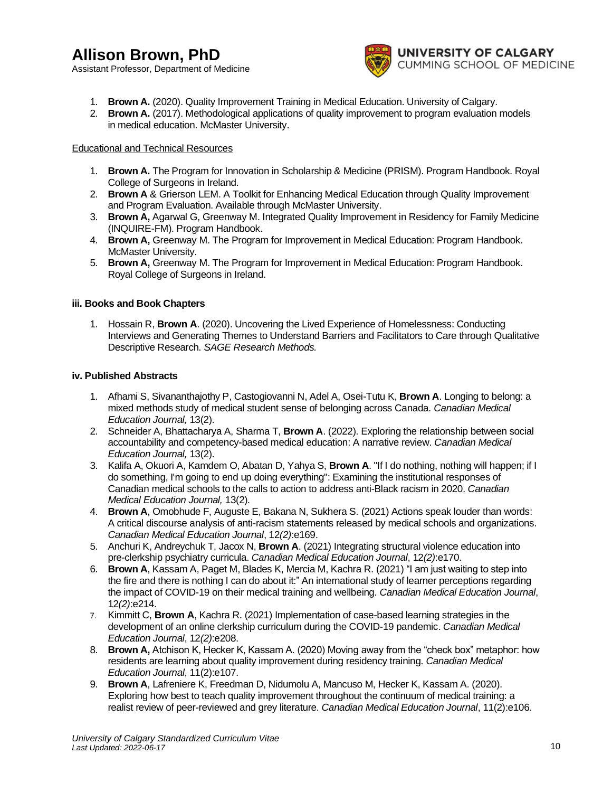Assistant Professor, Department of Medicine



- 1. **Brown A.** (2020). Quality Improvement Training in Medical Education. University of Calgary.
- 2. **Brown A.** (2017). Methodological applications of quality improvement to program evaluation models in medical education. McMaster University.

### Educational and Technical Resources

- 1. **Brown A.** The Program for Innovation in Scholarship & Medicine (PRISM). Program Handbook. Royal College of Surgeons in Ireland.
- 2. **Brown A** & Grierson LEM. A Toolkit for Enhancing Medical Education through Quality Improvement and Program Evaluation. Available through McMaster University.
- 3. **Brown A,** Agarwal G, Greenway M. Integrated Quality Improvement in Residency for Family Medicine (INQUIRE-FM). Program Handbook.
- 4. **Brown A,** Greenway M. The Program for Improvement in Medical Education: Program Handbook. McMaster University.
- 5. **Brown A,** Greenway M. The Program for Improvement in Medical Education: Program Handbook. Royal College of Surgeons in Ireland.

## **iii. Books and Book Chapters**

1. Hossain R, **Brown A**. (2020). Uncovering the Lived Experience of Homelessness: Conducting Interviews and Generating Themes to Understand Barriers and Facilitators to Care through Qualitative Descriptive Research. *SAGE Research Methods.*

## **iv. Published Abstracts**

- 1. Afhami S, Sivananthajothy P, Castogiovanni N, Adel A, Osei-Tutu K, **Brown A**. Longing to belong: a mixed methods study of medical student sense of belonging across Canada. *Canadian Medical Education Journal,* 13(2).
- 2. Schneider A, Bhattacharya A, Sharma T, **Brown A**. (2022). Exploring the relationship between social accountability and competency-based medical education: A narrative review. *Canadian Medical Education Journal,* 13(2).
- 3. Kalifa A, Okuori A, Kamdem O, Abatan D, Yahya S, **Brown A**. "If I do nothing, nothing will happen; if I do something, I'm going to end up doing everything": Examining the institutional responses of Canadian medical schools to the calls to action to address anti-Black racism in 2020. *Canadian Medical Education Journal,* 13(2).
- 4. **Brown A**, Omobhude F, Auguste E, Bakana N, Sukhera S. (2021) Actions speak louder than words: A critical discourse analysis of anti-racism statements released by medical schools and organizations. *Canadian Medical Education Journal*, 12*(2)*:e169.
- 5. Anchuri K, Andreychuk T, Jacox N, **Brown A**. (2021) Integrating structural violence education into pre-clerkship psychiatry curricula. *Canadian Medical Education Journal*, 12*(2)*:e170.
- 6. **Brown A**, Kassam A, Paget M, Blades K, Mercia M, Kachra R. (2021) "I am just waiting to step into the fire and there is nothing I can do about it:" An international study of learner perceptions regarding the impact of COVID-19 on their medical training and wellbeing. *Canadian Medical Education Journal*, 12*(2)*:e214.
- 7. Kimmitt C, **Brown A**, Kachra R. (2021) Implementation of case-based learning strategies in the development of an online clerkship curriculum during the COVID-19 pandemic. *Canadian Medical Education Journal*, 12*(2)*:e208.
- 8. **Brown A,** Atchison K, Hecker K, Kassam A. (2020) Moving away from the "check box" metaphor: how residents are learning about quality improvement during residency training. *Canadian Medical Education Journal*, 11(2):e107.
- 9. **Brown A**, Lafreniere K, Freedman D, Nidumolu A, Mancuso M, Hecker K, Kassam A. (2020). Exploring how best to teach quality improvement throughout the continuum of medical training: a realist review of peer-reviewed and grey literature. *Canadian Medical Education Journal*, 11(2):e106.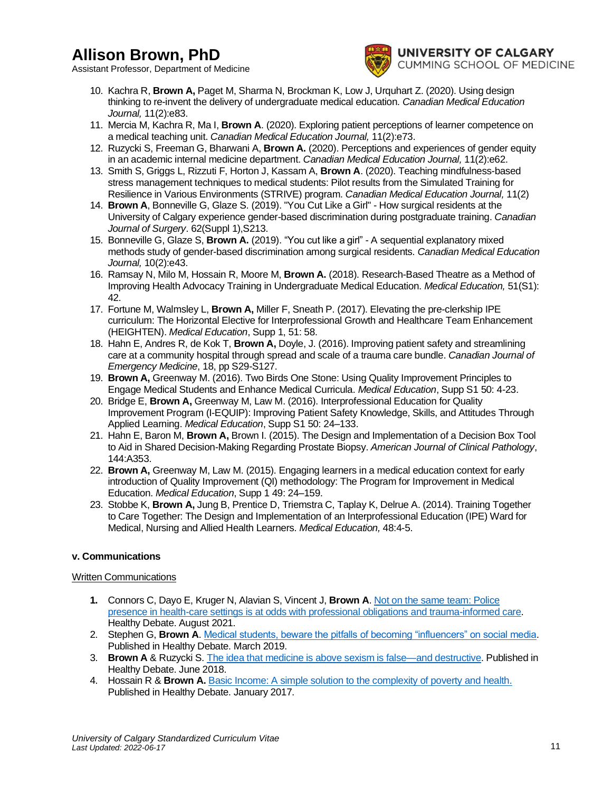Assistant Professor, Department of Medicine



- 10. Kachra R, **Brown A,** Paget M, Sharma N, Brockman K, Low J, Urquhart Z. (2020). Using design thinking to re-invent the delivery of undergraduate medical education. *Canadian Medical Education Journal,* 11(2):e83.
- 11. Mercia M, Kachra R, Ma I, **Brown A**. (2020). Exploring patient perceptions of learner competence on a medical teaching unit. *Canadian Medical Education Journal,* 11(2):e73.
- 12. Ruzycki S, Freeman G, Bharwani A, **Brown A.** (2020). Perceptions and experiences of gender equity in an academic internal medicine department. *Canadian Medical Education Journal,* 11(2):e62.
- 13. Smith S, Griggs L, Rizzuti F, Horton J, Kassam A, **Brown A**. (2020). Teaching mindfulness-based stress management techniques to medical students: Pilot results from the Simulated Training for Resilience in Various Environments (STRIVE) program. *Canadian Medical Education Journal,* 11(2)
- 14. **Brown A**, Bonneville G, Glaze S. (2019). "You Cut Like a Girl" How surgical residents at the University of Calgary experience gender-based discrimination during postgraduate training. *Canadian Journal of Surgery*. 62(Suppl 1),S213.
- 15. Bonneville G, Glaze S, **Brown A.** (2019). "You cut like a girl" A sequential explanatory mixed methods study of gender-based discrimination among surgical residents. *Canadian Medical Education Journal,* 10(2):e43.
- 16. Ramsay N, Milo M, Hossain R, Moore M, **Brown A.** (2018). Research-Based Theatre as a Method of Improving Health Advocacy Training in Undergraduate Medical Education. *Medical Education,* 51(S1): 42.
- 17. Fortune M, Walmsley L, **Brown A,** Miller F, Sneath P. (2017). Elevating the pre-clerkship IPE curriculum: The Horizontal Elective for Interprofessional Growth and Healthcare Team Enhancement (HEIGHTEN). *Medical Education*, Supp 1, 51: 58.
- 18. Hahn E, Andres R, de Kok T, **Brown A,** Doyle, J. (2016). Improving patient safety and streamlining care at a community hospital through spread and scale of a trauma care bundle. *Canadian Journal of Emergency Medicine*, 18, pp S29-S127.
- 19. **Brown A,** Greenway M. (2016). Two Birds One Stone: Using Quality Improvement Principles to Engage Medical Students and Enhance Medical Curricula. *Medical Education*, Supp S1 50: 4-23.
- 20. Bridge E, **Brown A,** Greenway M, Law M. (2016). Interprofessional Education for Quality Improvement Program (I-EQUIP): Improving Patient Safety Knowledge, Skills, and Attitudes Through Applied Learning. *Medical Education*, Supp S1 50: 24–133.
- 21. Hahn E, Baron M, **Brown A,** Brown I. (2015). The Design and Implementation of a Decision Box Tool to Aid in Shared Decision-Making Regarding Prostate Biopsy. *American Journal of Clinical Pathology*, 144:A353.
- 22. **Brown A,** Greenway M, Law M. (2015). Engaging learners in a medical education context for early introduction of Quality Improvement (QI) methodology: The Program for Improvement in Medical Education. *Medical Education*, Supp 1 49: 24–159.
- 23. Stobbe K, **Brown A,** Jung B, Prentice D, Triemstra C, Taplay K, Delrue A. (2014). Training Together to Care Together: The Design and Implementation of an Interprofessional Education (IPE) Ward for Medical, Nursing and Allied Health Learners. *Medical Education,* 48:4-5.

## **v. Communications**

## Written Communications

- **1.** Connors C, Dayo E, Kruger N, Alavian S, Vincent J, **Brown A**[. Not on the same team: Police](https://healthydebate.ca/2021/08/topic/police-presence-in-health-care/)  [presence in health-care settings is at odds with professional obligations and trauma-informed care.](https://healthydebate.ca/2021/08/topic/police-presence-in-health-care/)  Healthy Debate. August 2021.
- 2. Stephen G, **Brown A**. [Medical students, beware the pitfalls of becoming "influencers" on social media.](https://healthydebate.ca/opinions/medical-influencers-on-social-media) Published in Healthy Debate. March 2019.
- 3. **Brown A** & Ruzycki S. [The idea that medicine is above sexism is false—and destructive.](http://healthydebate.ca/opinions/sexism-in-medicine) Published in Healthy Debate. June 2018.
- 4. Hossain R & **Brown A.** [Basic Income: A simple solution to the complexity of poverty and health.](http://healthydebate.ca/opinions/basic-income) Published in Healthy Debate. January 2017.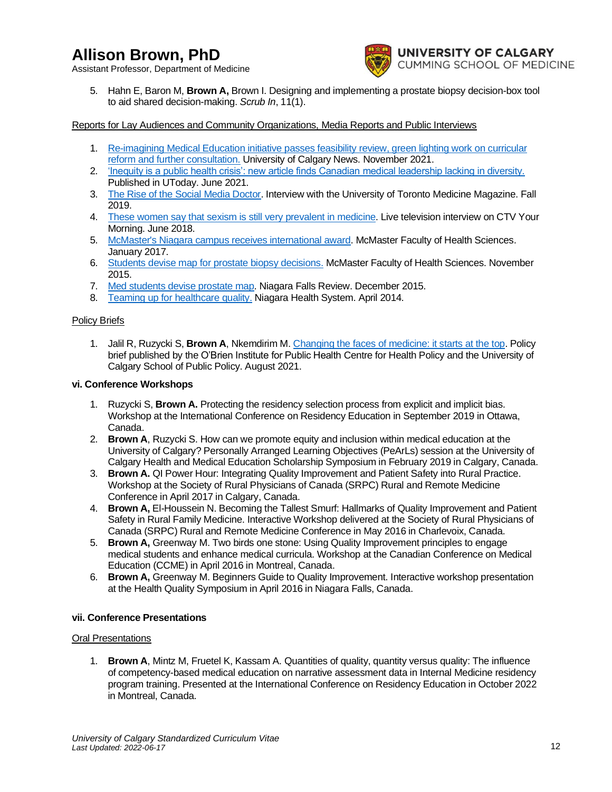Assistant Professor, Department of Medicine



5. Hahn E, Baron M, **Brown A,** Brown I. Designing and implementing a prostate biopsy decision-box tool to aid shared decision-making. *Scrub In*, 11(1).

### Reports for Lay Audiences and Community Organizations, Media Reports and Public Interviews

- 1. [Re-imagining Medical Education initiative passes feasibility review, green lighting work on curricular](https://ucalgary.ca/news/re-imagining-medical-education-initiative-passes-feasibility-review-green-lighting-work-curricular)  [reform and further consultation.](https://ucalgary.ca/news/re-imagining-medical-education-initiative-passes-feasibility-review-green-lighting-work-curricular) University of Calgary News. November 2021.
- 2. ['Inequity is a public health crisis': new article finds Canadian medical leadership lacking in diversity.](https://ucalgary.ca/news/inequity-public-health-crisis-new-article-finds-canadian-medical-leadership-lacking-diversity) Published in UToday. June 2021.
- 3. [The Rise of the Social Media Doctor.](https://uoftmedmagazine.utoronto.ca/2020/winter/) Interview with the University of Toronto Medicine Magazine. Fall 2019.
- 4. [These women say that sexism is still very prevalent in medicine.](https://www.ctv.ca/YourMorning/Video/These-women-say-that-sexism-is-still-very-prevalent-in-medicine-vid1426281) Live television interview on CTV Your Morning. June 2018.
- 5. [McMaster's Niagara campus receives international award.](https://fhs.mcmaster.ca/main/news/news_2017/niagara_campus_receives_international_award.html) McMaster Faculty of Health Sciences. January 2017.
- 6. [Students devise map for prostate biopsy decisions.](https://fhs.mcmaster.ca/main/news/news_2015/prostate_cancer_decision_map.html) McMaster Faculty of Health Sciences. November 2015.
- 7. [Med students devise prostate map.](https://www.niagarafallsreview.ca/news-story/8183997-med-students-devise-prostate-map/) Niagara Falls Review. December 2015.
- 8. [Teaming up for healthcare quality.](https://www.youtube.com/watch?v=5thPjHSyFSA) Niagara Health System. April 2014.

#### Policy Briefs

1. Jalil R, Ruzycki S, **Brown A**, Nkemdirim M[. Changing the faces of medicine: it starts at the top.](https://obrieniph.ucalgary.ca/sites/default/files/Changing%20the%20faces%20of%20medicine_policy%20brief.pdf) Policy brief published by the O'Brien Institute for Public Health Centre for Health Policy and the University of Calgary School of Public Policy. August 2021.

#### **vi. Conference Workshops**

- 1. Ruzycki S, **Brown A.** Protecting the residency selection process from explicit and implicit bias. Workshop at the International Conference on Residency Education in September 2019 in Ottawa, Canada.
- 2. **Brown A**, Ruzycki S. How can we promote equity and inclusion within medical education at the University of Calgary? Personally Arranged Learning Objectives (PeArLs) session at the University of Calgary Health and Medical Education Scholarship Symposium in February 2019 in Calgary, Canada.
- 3. **Brown A.** QI Power Hour: Integrating Quality Improvement and Patient Safety into Rural Practice. Workshop at the Society of Rural Physicians of Canada (SRPC) Rural and Remote Medicine Conference in April 2017 in Calgary, Canada.
- 4. **Brown A,** El-Houssein N. Becoming the Tallest Smurf: Hallmarks of Quality Improvement and Patient Safety in Rural Family Medicine. Interactive Workshop delivered at the Society of Rural Physicians of Canada (SRPC) Rural and Remote Medicine Conference in May 2016 in Charlevoix, Canada.
- 5. **Brown A,** Greenway M. Two birds one stone: Using Quality Improvement principles to engage medical students and enhance medical curricula. Workshop at the Canadian Conference on Medical Education (CCME) in April 2016 in Montreal, Canada.
- 6. **Brown A,** Greenway M. Beginners Guide to Quality Improvement. Interactive workshop presentation at the Health Quality Symposium in April 2016 in Niagara Falls, Canada.

#### **vii. Conference Presentations**

#### Oral Presentations

1. **Brown A**, Mintz M, Fruetel K, Kassam A. Quantities of quality, quantity versus quality: The influence of competency-based medical education on narrative assessment data in Internal Medicine residency program training. Presented at the International Conference on Residency Education in October 2022 in Montreal, Canada.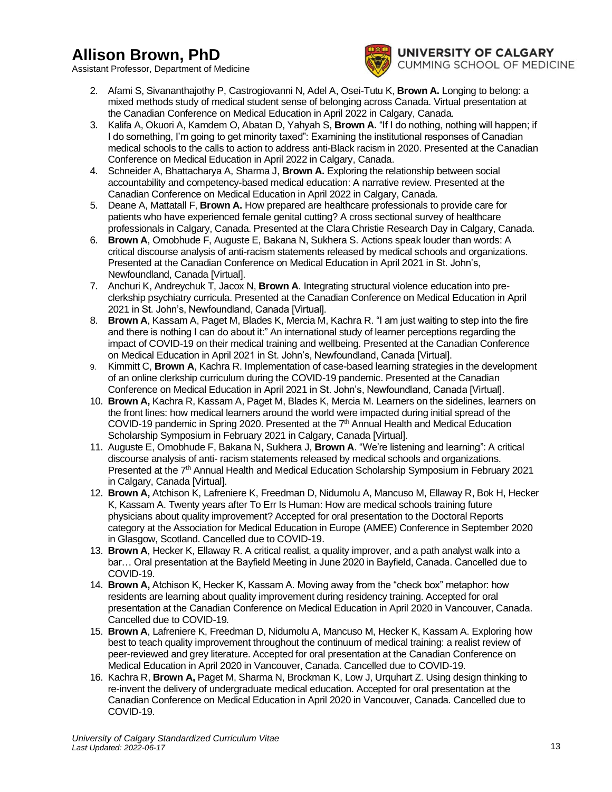Assistant Professor, Department of Medicine



**INIVERSITY OF CALGARY** CUMMING SCHOOL OF MEDICINE

- 2. Afami S, Sivananthajothy P, Castrogiovanni N, Adel A, Osei-Tutu K, **Brown A.** Longing to belong: a mixed methods study of medical student sense of belonging across Canada. Virtual presentation at the Canadian Conference on Medical Education in April 2022 in Calgary, Canada.
- 3. Kalifa A, Okuori A, Kamdem O, Abatan D, Yahyah S, **Brown A.** "If I do nothing, nothing will happen; if I do something, I'm going to get minority taxed": Examining the institutional responses of Canadian medical schools to the calls to action to address anti-Black racism in 2020. Presented at the Canadian Conference on Medical Education in April 2022 in Calgary, Canada.
- 4. Schneider A, Bhattacharya A, Sharma J, **Brown A.** Exploring the relationship between social accountability and competency-based medical education: A narrative review. Presented at the Canadian Conference on Medical Education in April 2022 in Calgary, Canada.
- 5. Deane A, Mattatall F, **Brown A.** How prepared are healthcare professionals to provide care for patients who have experienced female genital cutting? A cross sectional survey of healthcare professionals in Calgary, Canada. Presented at the Clara Christie Research Day in Calgary, Canada.
- 6. **Brown A**, Omobhude F, Auguste E, Bakana N, Sukhera S. Actions speak louder than words: A critical discourse analysis of anti-racism statements released by medical schools and organizations. Presented at the Canadian Conference on Medical Education in April 2021 in St. John's, Newfoundland, Canada [Virtual].
- 7. Anchuri K, Andreychuk T, Jacox N, **Brown A**. Integrating structural violence education into preclerkship psychiatry curricula. Presented at the Canadian Conference on Medical Education in April 2021 in St. John's, Newfoundland, Canada [Virtual].
- 8. **Brown A**, Kassam A, Paget M, Blades K, Mercia M, Kachra R. "I am just waiting to step into the fire and there is nothing I can do about it:" An international study of learner perceptions regarding the impact of COVID-19 on their medical training and wellbeing. Presented at the Canadian Conference on Medical Education in April 2021 in St. John's, Newfoundland, Canada [Virtual].
- 9. Kimmitt C, **Brown A**, Kachra R. Implementation of case-based learning strategies in the development of an online clerkship curriculum during the COVID-19 pandemic. Presented at the Canadian Conference on Medical Education in April 2021 in St. John's, Newfoundland, Canada [Virtual].
- 10. **Brown A,** Kachra R, Kassam A, Paget M, Blades K, Mercia M. Learners on the sidelines, learners on the front lines: how medical learners around the world were impacted during initial spread of the COVID-19 pandemic in Spring 2020. Presented at the 7<sup>th</sup> Annual Health and Medical Education Scholarship Symposium in February 2021 in Calgary, Canada [Virtual].
- 11. Auguste E, Omobhude F, Bakana N, Sukhera J, **Brown A**. "We're listening and learning": A critical discourse analysis of anti- racism statements released by medical schools and organizations. Presented at the  $7<sup>th</sup>$  Annual Health and Medical Education Scholarship Symposium in February 2021 in Calgary, Canada [Virtual].
- 12. **Brown A,** Atchison K, Lafreniere K, Freedman D, Nidumolu A, Mancuso M, Ellaway R, Bok H, Hecker K, Kassam A. Twenty years after To Err Is Human: How are medical schools training future physicians about quality improvement? Accepted for oral presentation to the Doctoral Reports category at the Association for Medical Education in Europe (AMEE) Conference in September 2020 in Glasgow, Scotland. Cancelled due to COVID-19.
- 13. **Brown A**, Hecker K, Ellaway R. A critical realist, a quality improver, and a path analyst walk into a bar… Oral presentation at the Bayfield Meeting in June 2020 in Bayfield, Canada. Cancelled due to COVID-19.
- 14. **Brown A,** Atchison K, Hecker K, Kassam A. Moving away from the "check box" metaphor: how residents are learning about quality improvement during residency training. Accepted for oral presentation at the Canadian Conference on Medical Education in April 2020 in Vancouver, Canada. Cancelled due to COVID-19*.*
- 15. **Brown A**, Lafreniere K, Freedman D, Nidumolu A, Mancuso M, Hecker K, Kassam A. Exploring how best to teach quality improvement throughout the continuum of medical training: a realist review of peer-reviewed and grey literature. Accepted for oral presentation at the Canadian Conference on Medical Education in April 2020 in Vancouver, Canada. Cancelled due to COVID-19.
- 16. Kachra R, **Brown A,** Paget M, Sharma N, Brockman K, Low J, Urquhart Z. Using design thinking to re-invent the delivery of undergraduate medical education. Accepted for oral presentation at the Canadian Conference on Medical Education in April 2020 in Vancouver, Canada. Cancelled due to COVID-19.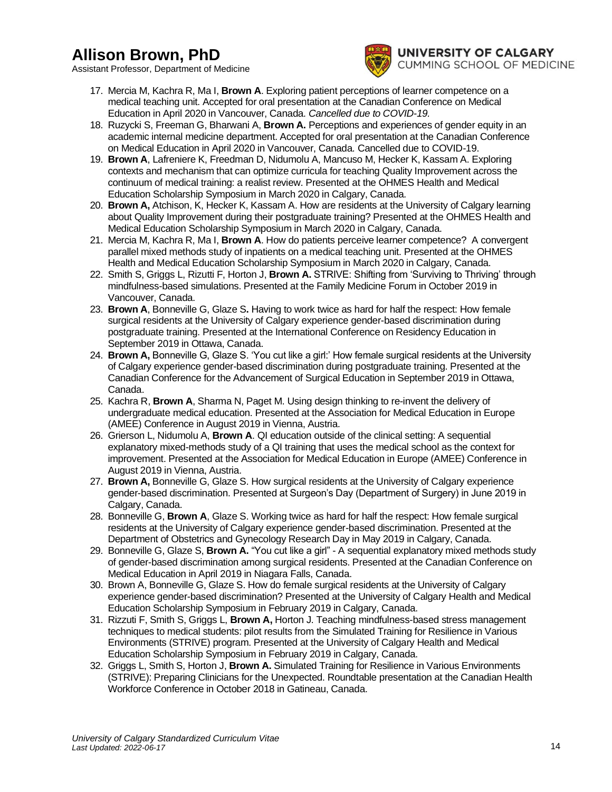Assistant Professor, Department of Medicine



**INIVERSITY OF CALGARY** CUMMING SCHOOL OF MEDICINE

- 17. Mercia M, Kachra R, Ma I, **Brown A**. Exploring patient perceptions of learner competence on a medical teaching unit. Accepted for oral presentation at the Canadian Conference on Medical Education in April 2020 in Vancouver, Canada. *Cancelled due to COVID-19.*
- 18. Ruzycki S, Freeman G, Bharwani A, **Brown A.** Perceptions and experiences of gender equity in an academic internal medicine department. Accepted for oral presentation at the Canadian Conference on Medical Education in April 2020 in Vancouver, Canada. Cancelled due to COVID-19.
- 19. **Brown A**, Lafreniere K, Freedman D, Nidumolu A, Mancuso M, Hecker K, Kassam A. Exploring contexts and mechanism that can optimize curricula for teaching Quality Improvement across the continuum of medical training: a realist review. Presented at the OHMES Health and Medical Education Scholarship Symposium in March 2020 in Calgary, Canada.
- 20. **Brown A,** Atchison, K, Hecker K, Kassam A. How are residents at the University of Calgary learning about Quality Improvement during their postgraduate training? Presented at the OHMES Health and Medical Education Scholarship Symposium in March 2020 in Calgary, Canada.
- 21. Mercia M, Kachra R, Ma I, **Brown A**. How do patients perceive learner competence? A convergent parallel mixed methods study of inpatients on a medical teaching unit. Presented at the OHMES Health and Medical Education Scholarship Symposium in March 2020 in Calgary, Canada.
- 22. Smith S, Griggs L, Rizutti F, Horton J, **Brown A.** STRIVE: Shifting from 'Surviving to Thriving' through mindfulness-based simulations. Presented at the Family Medicine Forum in October 2019 in Vancouver, Canada.
- 23. **Brown A**, Bonneville G, Glaze S**.** Having to work twice as hard for half the respect: How female surgical residents at the University of Calgary experience gender-based discrimination during postgraduate training. Presented at the International Conference on Residency Education in September 2019 in Ottawa, Canada.
- 24. **Brown A,** Bonneville G, Glaze S. 'You cut like a girl:' How female surgical residents at the University of Calgary experience gender-based discrimination during postgraduate training. Presented at the Canadian Conference for the Advancement of Surgical Education in September 2019 in Ottawa, Canada.
- 25. Kachra R, **Brown A**, Sharma N, Paget M. Using design thinking to re-invent the delivery of undergraduate medical education. Presented at the Association for Medical Education in Europe (AMEE) Conference in August 2019 in Vienna, Austria.
- 26. Grierson L, Nidumolu A, **Brown A**. QI education outside of the clinical setting: A sequential explanatory mixed-methods study of a QI training that uses the medical school as the context for improvement. Presented at the Association for Medical Education in Europe (AMEE) Conference in August 2019 in Vienna, Austria.
- 27. **Brown A,** Bonneville G, Glaze S. How surgical residents at the University of Calgary experience gender-based discrimination. Presented at Surgeon's Day (Department of Surgery) in June 2019 in Calgary, Canada.
- 28. Bonneville G, **Brown A**, Glaze S. Working twice as hard for half the respect: How female surgical residents at the University of Calgary experience gender-based discrimination. Presented at the Department of Obstetrics and Gynecology Research Day in May 2019 in Calgary, Canada.
- 29. Bonneville G, Glaze S, **Brown A.** "You cut like a girl" A sequential explanatory mixed methods study of gender-based discrimination among surgical residents. Presented at the Canadian Conference on Medical Education in April 2019 in Niagara Falls, Canada.
- 30. Brown A, Bonneville G, Glaze S. How do female surgical residents at the University of Calgary experience gender-based discrimination? Presented at the University of Calgary Health and Medical Education Scholarship Symposium in February 2019 in Calgary, Canada.
- 31. Rizzuti F, Smith S, Griggs L, **Brown A,** Horton J. Teaching mindfulness-based stress management techniques to medical students: pilot results from the Simulated Training for Resilience in Various Environments (STRIVE) program. Presented at the University of Calgary Health and Medical Education Scholarship Symposium in February 2019 in Calgary, Canada.
- 32. Griggs L, Smith S, Horton J, **Brown A.** Simulated Training for Resilience in Various Environments (STRIVE): Preparing Clinicians for the Unexpected. Roundtable presentation at the Canadian Health Workforce Conference in October 2018 in Gatineau, Canada.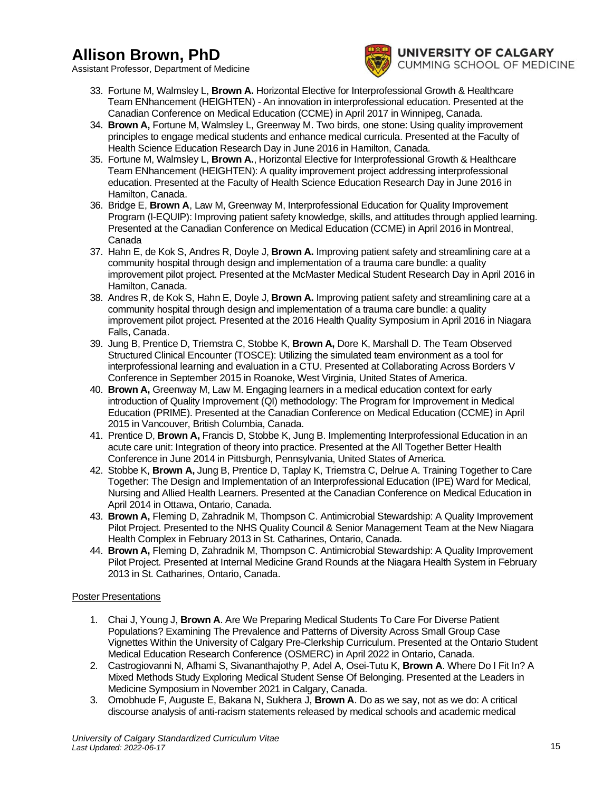Assistant Professor, Department of Medicine



**JNIVERSITY OF CALGARY** CUMMING SCHOOL OF MEDICINE

- 33. Fortune M, Walmsley L, **Brown A.** Horizontal Elective for Interprofessional Growth & Healthcare Team ENhancement (HEIGHTEN) - An innovation in interprofessional education. Presented at the Canadian Conference on Medical Education (CCME) in April 2017 in Winnipeg, Canada.
- 34. **Brown A,** Fortune M, Walmsley L, Greenway M. Two birds, one stone: Using quality improvement principles to engage medical students and enhance medical curricula. Presented at the Faculty of Health Science Education Research Day in June 2016 in Hamilton, Canada.
- 35. Fortune M, Walmsley L, **Brown A.**, Horizontal Elective for Interprofessional Growth & Healthcare Team ENhancement (HEIGHTEN): A quality improvement project addressing interprofessional education. Presented at the Faculty of Health Science Education Research Day in June 2016 in Hamilton, Canada.
- 36. Bridge E, **Brown A**, Law M, Greenway M, Interprofessional Education for Quality Improvement Program (I-EQUIP): Improving patient safety knowledge, skills, and attitudes through applied learning. Presented at the Canadian Conference on Medical Education (CCME) in April 2016 in Montreal, Canada
- 37. Hahn E, de Kok S, Andres R, Doyle J, **Brown A.** Improving patient safety and streamlining care at a community hospital through design and implementation of a trauma care bundle: a quality improvement pilot project. Presented at the McMaster Medical Student Research Day in April 2016 in Hamilton, Canada.
- 38. Andres R, de Kok S, Hahn E, Doyle J, **Brown A.** Improving patient safety and streamlining care at a community hospital through design and implementation of a trauma care bundle: a quality improvement pilot project. Presented at the 2016 Health Quality Symposium in April 2016 in Niagara Falls, Canada.
- 39. Jung B, Prentice D, Triemstra C, Stobbe K, **Brown A,** Dore K, Marshall D. The Team Observed Structured Clinical Encounter (TOSCE): Utilizing the simulated team environment as a tool for interprofessional learning and evaluation in a CTU. Presented at Collaborating Across Borders V Conference in September 2015 in Roanoke, West Virginia, United States of America.
- 40. **Brown A,** Greenway M, Law M. Engaging learners in a medical education context for early introduction of Quality Improvement (QI) methodology: The Program for Improvement in Medical Education (PRIME). Presented at the Canadian Conference on Medical Education (CCME) in April 2015 in Vancouver, British Columbia, Canada.
- 41. Prentice D, **Brown A,** Francis D, Stobbe K, Jung B. Implementing Interprofessional Education in an acute care unit: Integration of theory into practice. Presented at the All Together Better Health Conference in June 2014 in Pittsburgh, Pennsylvania, United States of America.
- 42. Stobbe K, **Brown A,** Jung B, Prentice D, Taplay K, Triemstra C, Delrue A. Training Together to Care Together: The Design and Implementation of an Interprofessional Education (IPE) Ward for Medical, Nursing and Allied Health Learners. Presented at the Canadian Conference on Medical Education in April 2014 in Ottawa, Ontario, Canada.
- 43. **Brown A,** Fleming D, Zahradnik M, Thompson C. Antimicrobial Stewardship: A Quality Improvement Pilot Project. Presented to the NHS Quality Council & Senior Management Team at the New Niagara Health Complex in February 2013 in St. Catharines, Ontario, Canada.
- 44. **Brown A,** Fleming D, Zahradnik M, Thompson C. Antimicrobial Stewardship: A Quality Improvement Pilot Project. Presented at Internal Medicine Grand Rounds at the Niagara Health System in February 2013 in St. Catharines, Ontario, Canada.

## Poster Presentations

- 1. Chai J, Young J, **Brown A**. Are We Preparing Medical Students To Care For Diverse Patient Populations? Examining The Prevalence and Patterns of Diversity Across Small Group Case Vignettes Within the University of Calgary Pre-Clerkship Curriculum. Presented at the Ontario Student Medical Education Research Conference (OSMERC) in April 2022 in Ontario, Canada.
- 2. Castrogiovanni N, Afhami S, Sivananthajothy P, Adel A, Osei-Tutu K, **Brown A**. Where Do I Fit In? A Mixed Methods Study Exploring Medical Student Sense Of Belonging. Presented at the Leaders in Medicine Symposium in November 2021 in Calgary, Canada.
- 3. Omobhude F, Auguste E, Bakana N, Sukhera J, **Brown A**. Do as we say, not as we do: A critical discourse analysis of anti-racism statements released by medical schools and academic medical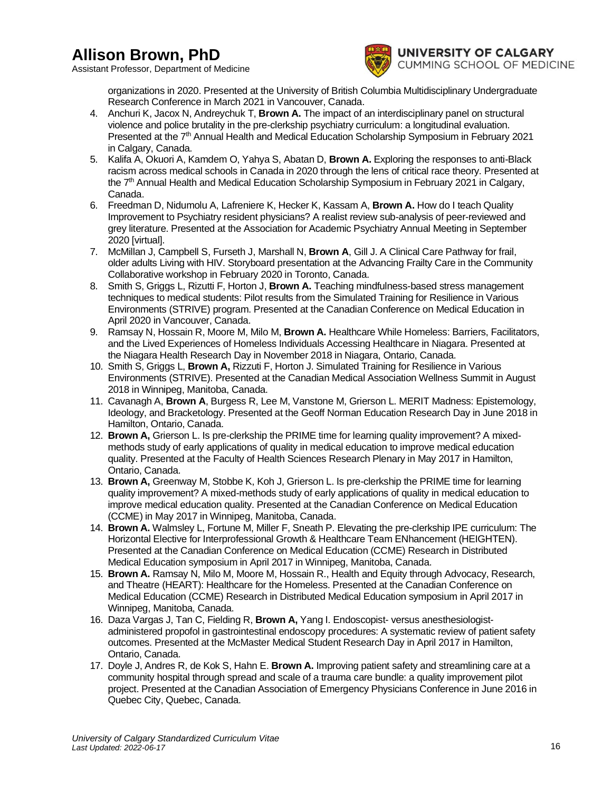Assistant Professor, Department of Medicine



organizations in 2020. Presented at the University of British Columbia Multidisciplinary Undergraduate Research Conference in March 2021 in Vancouver, Canada.

- 4. Anchuri K, Jacox N, Andreychuk T, **Brown A.** The impact of an interdisciplinary panel on structural violence and police brutality in the pre-clerkship psychiatry curriculum: a longitudinal evaluation. Presented at the 7<sup>th</sup> Annual Health and Medical Education Scholarship Symposium in February 2021 in Calgary, Canada.
- 5. Kalifa A, Okuori A, Kamdem O, Yahya S, Abatan D, **Brown A.** Exploring the responses to anti-Black racism across medical schools in Canada in 2020 through the lens of critical race theory. Presented at the 7th Annual Health and Medical Education Scholarship Symposium in February 2021 in Calgary, Canada.
- 6. Freedman D, Nidumolu A, Lafreniere K, Hecker K, Kassam A, **Brown A.** How do I teach Quality Improvement to Psychiatry resident physicians? A realist review sub-analysis of peer-reviewed and grey literature. Presented at the Association for Academic Psychiatry Annual Meeting in September 2020 [virtual].
- 7. McMillan J, Campbell S, Furseth J, Marshall N, **Brown A**, Gill J. A Clinical Care Pathway for frail, older adults Living with HIV. Storyboard presentation at the Advancing Frailty Care in the Community Collaborative workshop in February 2020 in Toronto, Canada.
- 8. Smith S, Griggs L, Rizutti F, Horton J, **Brown A.** Teaching mindfulness-based stress management techniques to medical students: Pilot results from the Simulated Training for Resilience in Various Environments (STRIVE) program. Presented at the Canadian Conference on Medical Education in April 2020 in Vancouver, Canada.
- 9. Ramsay N, Hossain R, Moore M, Milo M, **Brown A.** Healthcare While Homeless: Barriers, Facilitators, and the Lived Experiences of Homeless Individuals Accessing Healthcare in Niagara. Presented at the Niagara Health Research Day in November 2018 in Niagara, Ontario, Canada.
- 10. Smith S, Griggs L, **Brown A,** Rizzuti F, Horton J. Simulated Training for Resilience in Various Environments (STRIVE). Presented at the Canadian Medical Association Wellness Summit in August 2018 in Winnipeg, Manitoba, Canada.
- 11. Cavanagh A, **Brown A**, Burgess R, Lee M, Vanstone M, Grierson L. MERIT Madness: Epistemology, Ideology, and Bracketology. Presented at the Geoff Norman Education Research Day in June 2018 in Hamilton, Ontario, Canada.
- 12. **Brown A,** Grierson L. Is pre-clerkship the PRIME time for learning quality improvement? A mixedmethods study of early applications of quality in medical education to improve medical education quality. Presented at the Faculty of Health Sciences Research Plenary in May 2017 in Hamilton, Ontario, Canada.
- 13. **Brown A,** Greenway M, Stobbe K, Koh J, Grierson L. Is pre-clerkship the PRIME time for learning quality improvement? A mixed-methods study of early applications of quality in medical education to improve medical education quality. Presented at the Canadian Conference on Medical Education (CCME) in May 2017 in Winnipeg, Manitoba, Canada.
- 14. **Brown A.** Walmsley L, Fortune M, Miller F, Sneath P. Elevating the pre-clerkship IPE curriculum: The Horizontal Elective for Interprofessional Growth & Healthcare Team ENhancement (HEIGHTEN). Presented at the Canadian Conference on Medical Education (CCME) Research in Distributed Medical Education symposium in April 2017 in Winnipeg, Manitoba, Canada.
- 15. **Brown A.** Ramsay N, Milo M, Moore M, Hossain R., Health and Equity through Advocacy, Research, and Theatre (HEART): Healthcare for the Homeless. Presented at the Canadian Conference on Medical Education (CCME) Research in Distributed Medical Education symposium in April 2017 in Winnipeg, Manitoba, Canada.
- 16. Daza Vargas J, Tan C, Fielding R, **Brown A,** Yang I. Endoscopist- versus anesthesiologistadministered propofol in gastrointestinal endoscopy procedures: A systematic review of patient safety outcomes. Presented at the McMaster Medical Student Research Day in April 2017 in Hamilton, Ontario, Canada.
- 17. Doyle J, Andres R, de Kok S, Hahn E. **Brown A.** Improving patient safety and streamlining care at a community hospital through spread and scale of a trauma care bundle: a quality improvement pilot project. Presented at the Canadian Association of Emergency Physicians Conference in June 2016 in Quebec City, Quebec, Canada.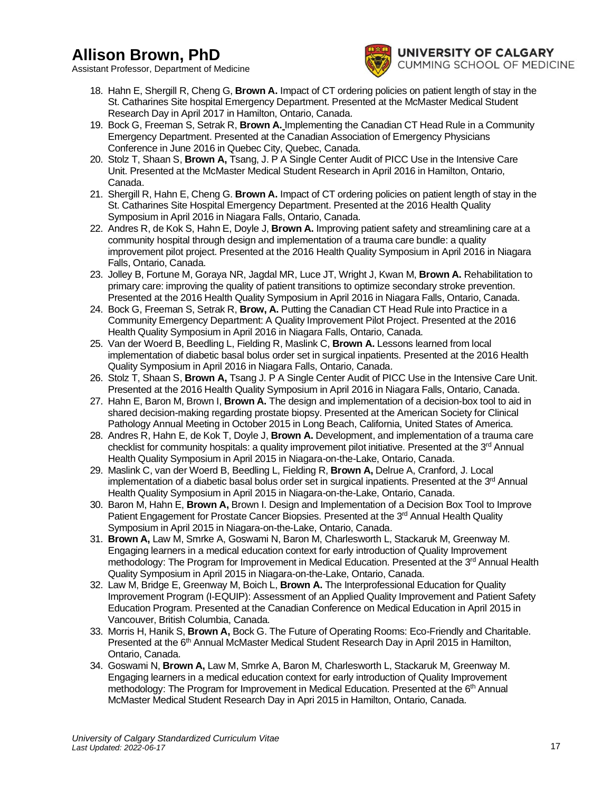Assistant Professor, Department of Medicine



- 18. Hahn E, Shergill R, Cheng G, **Brown A.** Impact of CT ordering policies on patient length of stay in the St. Catharines Site hospital Emergency Department. Presented at the McMaster Medical Student Research Day in April 2017 in Hamilton, Ontario, Canada.
- 19. Bock G, Freeman S, Setrak R, **Brown A.** Implementing the Canadian CT Head Rule in a Community Emergency Department. Presented at the Canadian Association of Emergency Physicians Conference in June 2016 in Quebec City, Quebec, Canada.
- 20. Stolz T, Shaan S, **Brown A,** Tsang, J. P A Single Center Audit of PICC Use in the Intensive Care Unit. Presented at the McMaster Medical Student Research in April 2016 in Hamilton, Ontario, Canada.
- 21. Shergill R, Hahn E, Cheng G. **Brown A.** Impact of CT ordering policies on patient length of stay in the St. Catharines Site Hospital Emergency Department. Presented at the 2016 Health Quality Symposium in April 2016 in Niagara Falls, Ontario, Canada.
- 22. Andres R, de Kok S, Hahn E, Doyle J, **Brown A.** Improving patient safety and streamlining care at a community hospital through design and implementation of a trauma care bundle: a quality improvement pilot project. Presented at the 2016 Health Quality Symposium in April 2016 in Niagara Falls, Ontario, Canada.
- 23. Jolley B, Fortune M, Goraya NR, Jagdal MR, Luce JT, Wright J, Kwan M, **Brown A.** Rehabilitation to primary care: improving the quality of patient transitions to optimize secondary stroke prevention. Presented at the 2016 Health Quality Symposium in April 2016 in Niagara Falls, Ontario, Canada.
- 24. Bock G, Freeman S, Setrak R, **Brow, A.** Putting the Canadian CT Head Rule into Practice in a Community Emergency Department: A Quality Improvement Pilot Project. Presented at the 2016 Health Quality Symposium in April 2016 in Niagara Falls, Ontario, Canada.
- 25. Van der Woerd B, Beedling L, Fielding R, Maslink C, **Brown A.** Lessons learned from local implementation of diabetic basal bolus order set in surgical inpatients. Presented at the 2016 Health Quality Symposium in April 2016 in Niagara Falls, Ontario, Canada.
- 26. Stolz T, Shaan S, **Brown A,** Tsang J. P A Single Center Audit of PICC Use in the Intensive Care Unit. Presented at the 2016 Health Quality Symposium in April 2016 in Niagara Falls, Ontario, Canada.
- 27. Hahn E, Baron M, Brown I, **Brown A.** The design and implementation of a decision-box tool to aid in shared decision-making regarding prostate biopsy. Presented at the American Society for Clinical Pathology Annual Meeting in October 2015 in Long Beach, California, United States of America.
- 28. Andres R, Hahn E, de Kok T, Doyle J, **Brown A.** Development, and implementation of a trauma care checklist for community hospitals: a quality improvement pilot initiative. Presented at the 3<sup>rd</sup> Annual Health Quality Symposium in April 2015 in Niagara-on-the-Lake, Ontario, Canada.
- 29. Maslink C, van der Woerd B, Beedling L, Fielding R, **Brown A,** Delrue A, Cranford, J. Local implementation of a diabetic basal bolus order set in surgical inpatients. Presented at the 3<sup>rd</sup> Annual Health Quality Symposium in April 2015 in Niagara-on-the-Lake, Ontario, Canada.
- 30. Baron M, Hahn E, **Brown A,** Brown I. Design and Implementation of a Decision Box Tool to Improve Patient Engagement for Prostate Cancer Biopsies. Presented at the 3<sup>rd</sup> Annual Health Quality Symposium in April 2015 in Niagara-on-the-Lake, Ontario, Canada.
- 31. **Brown A,** Law M, Smrke A, Goswami N, Baron M, Charlesworth L, Stackaruk M, Greenway M. Engaging learners in a medical education context for early introduction of Quality Improvement methodology: The Program for Improvement in Medical Education. Presented at the 3<sup>rd</sup> Annual Health Quality Symposium in April 2015 in Niagara-on-the-Lake, Ontario, Canada.
- 32. Law M, Bridge E, Greenway M, Boich L, **Brown A.** The Interprofessional Education for Quality Improvement Program (I-EQUIP): Assessment of an Applied Quality Improvement and Patient Safety Education Program. Presented at the Canadian Conference on Medical Education in April 2015 in Vancouver, British Columbia, Canada.
- 33. Morris H, Hanik S, **Brown A,** Bock G. The Future of Operating Rooms: Eco-Friendly and Charitable. Presented at the 6<sup>th</sup> Annual McMaster Medical Student Research Day in April 2015 in Hamilton, Ontario, Canada.
- 34. Goswami N, **Brown A,** Law M, Smrke A, Baron M, Charlesworth L, Stackaruk M, Greenway M. Engaging learners in a medical education context for early introduction of Quality Improvement methodology: The Program for Improvement in Medical Education. Presented at the 6<sup>th</sup> Annual McMaster Medical Student Research Day in Apri 2015 in Hamilton, Ontario, Canada.